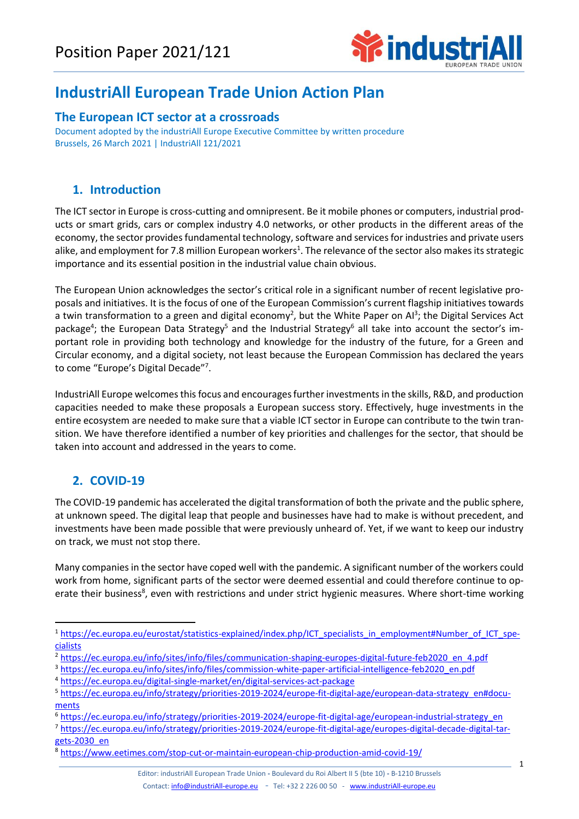

# **IndustriAll European Trade Union Action Plan**

#### **The European ICT sector at a crossroads**

Document adopted by the industriAll Europe Executive Committee by written procedure Brussels, 26 March 2021 | IndustriAll 121/2021

### **1. Introduction**

The ICT sector in Europe is cross-cutting and omnipresent. Be it mobile phones or computers, industrial products or smart grids, cars or complex industry 4.0 networks, or other products in the different areas of the economy, the sector provides fundamental technology, software and services for industries and private users alike, and employment for 7.8 million European workers<sup>1</sup>. The relevance of the sector also makes its strategic importance and its essential position in the industrial value chain obvious.

The European Union acknowledges the sector's critical role in a significant number of recent legislative proposals and initiatives. It is the focus of one of the European Commission's current flagship initiatives towards a twin transformation to a green and digital economy<sup>2</sup>, but the White Paper on AI<sup>3</sup>; the Digital Services Act package<sup>4</sup>; the European Data Strategy<sup>5</sup> and the Industrial Strategy<sup>6</sup> all take into account the sector's important role in providing both technology and knowledge for the industry of the future, for a Green and Circular economy, and a digital society, not least because the European Commission has declared the years to come "Europe's Digital Decade"<sup>7</sup> .

IndustriAll Europe welcomes this focus and encourages further investments in the skills, R&D, and production capacities needed to make these proposals a European success story. Effectively, huge investments in the entire ecosystem are needed to make sure that a viable ICT sector in Europe can contribute to the twin transition. We have therefore identified a number of key priorities and challenges for the sector, that should be taken into account and addressed in the years to come.

## **2. COVID-19**

The COVID-19 pandemic has accelerated the digital transformation of both the private and the public sphere, at unknown speed. The digital leap that people and businesses have had to make is without precedent, and investments have been made possible that were previously unheard of. Yet, if we want to keep our industry on track, we must not stop there.

Many companies in the sector have coped well with the pandemic. A significant number of the workers could work from home, significant parts of the sector were deemed essential and could therefore continue to operate their business<sup>8</sup>, even with restrictions and under strict hygienic measures. Where short-time working

<sup>1</sup> [https://ec.europa.eu/eurostat/statistics-explained/index.php/ICT\\_specialists\\_in\\_employment#Number\\_of\\_ICT\\_spe](https://ec.europa.eu/eurostat/statistics-explained/index.php/ICT_specialists_in_employment#Number_of_ICT_specialists)[cialists](https://ec.europa.eu/eurostat/statistics-explained/index.php/ICT_specialists_in_employment#Number_of_ICT_specialists)

<sup>&</sup>lt;sup>2</sup> [https://ec.europa.eu/info/sites/info/files/communication-shaping-europes-digital-future-feb2020\\_en\\_4.pdf](https://ec.europa.eu/info/sites/info/files/communication-shaping-europes-digital-future-feb2020_en_4.pdf)

<sup>3</sup> [https://ec.europa.eu/info/sites/info/files/commission-white-paper-artificial-intelligence-feb2020\\_en.pdf](https://ec.europa.eu/info/sites/info/files/commission-white-paper-artificial-intelligence-feb2020_en.pdf)

<sup>4</sup> <https://ec.europa.eu/digital-single-market/en/digital-services-act-package>

<sup>5</sup> [https://ec.europa.eu/info/strategy/priorities-2019-2024/europe-fit-digital-age/european-data-strategy\\_en#docu](https://ec.europa.eu/info/strategy/priorities-2019-2024/europe-fit-digital-age/european-data-strategy_en#documents)[ments](https://ec.europa.eu/info/strategy/priorities-2019-2024/europe-fit-digital-age/european-data-strategy_en#documents)

<sup>6</sup> [https://ec.europa.eu/info/strategy/priorities-2019-2024/europe-fit-digital-age/european-industrial-strategy\\_en](https://ec.europa.eu/info/strategy/priorities-2019-2024/europe-fit-digital-age/european-industrial-strategy_en)

<sup>7</sup> [https://ec.europa.eu/info/strategy/priorities-2019-2024/europe-fit-digital-age/europes-digital-decade-digital-tar](https://ec.europa.eu/info/strategy/priorities-2019-2024/europe-fit-digital-age/europes-digital-decade-digital-targets-2030_en)gets-2030 en

<sup>8</sup> <https://www.eetimes.com/stop-cut-or-maintain-european-chip-production-amid-covid-19/>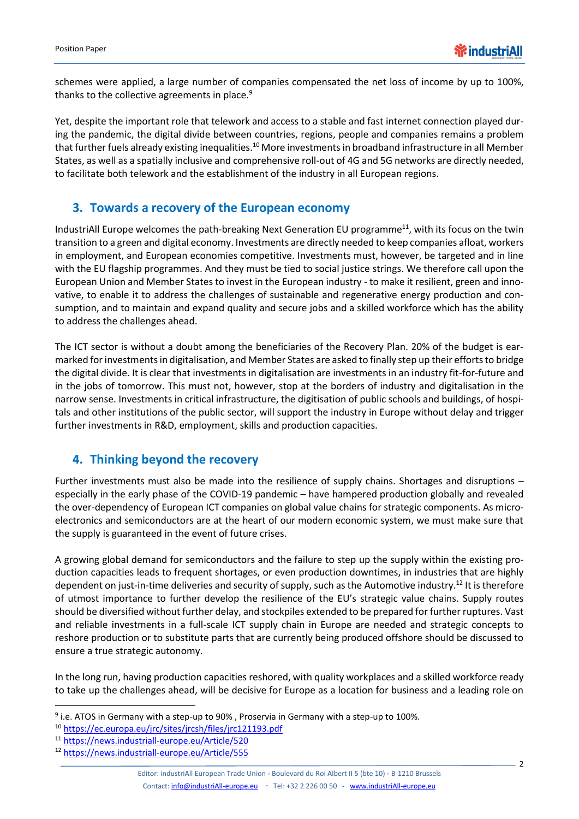schemes were applied, a large number of companies compensated the net loss of income by up to 100%, thanks to the collective agreements in place.<sup>9</sup>

Yet, despite the important role that telework and access to a stable and fast internet connection played during the pandemic, the digital divide between countries, regions, people and companies remains a problem that further fuels already existing inequalities.<sup>10</sup> More investments in broadband infrastructure in all Member States, as well as a spatially inclusive and comprehensive roll-out of 4G and 5G networks are directly needed, to facilitate both telework and the establishment of the industry in all European regions.

#### **3. Towards a recovery of the European economy**

IndustriAll Europe welcomes the path-breaking Next Generation EU programme<sup>11</sup>, with its focus on the twin transition to a green and digital economy. Investments are directly needed to keep companies afloat, workers in employment, and European economies competitive. Investments must, however, be targeted and in line with the EU flagship programmes. And they must be tied to social justice strings. We therefore call upon the European Union and Member States to invest in the European industry - to make it resilient, green and innovative, to enable it to address the challenges of sustainable and regenerative energy production and consumption, and to maintain and expand quality and secure jobs and a skilled workforce which has the ability to address the challenges ahead.

The ICT sector is without a doubt among the beneficiaries of the Recovery Plan. 20% of the budget is earmarked for investments in digitalisation, and Member States are asked to finally step up their efforts to bridge the digital divide. It is clear that investments in digitalisation are investments in an industry fit-for-future and in the jobs of tomorrow. This must not, however, stop at the borders of industry and digitalisation in the narrow sense. Investments in critical infrastructure, the digitisation of public schools and buildings, of hospitals and other institutions of the public sector, will support the industry in Europe without delay and trigger further investments in R&D, employment, skills and production capacities.

### **4. Thinking beyond the recovery**

Further investments must also be made into the resilience of supply chains. Shortages and disruptions – especially in the early phase of the COVID-19 pandemic – have hampered production globally and revealed the over-dependency of European ICT companies on global value chains for strategic components. As microelectronics and semiconductors are at the heart of our modern economic system, we must make sure that the supply is guaranteed in the event of future crises.

A growing global demand for semiconductors and the failure to step up the supply within the existing production capacities leads to frequent shortages, or even production downtimes, in industries that are highly dependent on just-in-time deliveries and security of supply, such as the Automotive industry.<sup>12</sup> It is therefore of utmost importance to further develop the resilience of the EU's strategic value chains. Supply routes should be diversified without further delay, and stockpiles extended to be prepared for further ruptures. Vast and reliable investments in a full-scale ICT supply chain in Europe are needed and strategic concepts to reshore production or to substitute parts that are currently being produced offshore should be discussed to ensure a true strategic autonomy.

In the long run, having production capacities reshored, with quality workplaces and a skilled workforce ready to take up the challenges ahead, will be decisive for Europe as a location for business and a leading role on

<sup>&</sup>lt;sup>9</sup> i.e. ATOS in Germany with a step-up to 90%, Proservia in Germany with a step-up to 100%.

<sup>10</sup> <https://ec.europa.eu/jrc/sites/jrcsh/files/jrc121193.pdf>

<sup>11</sup> <https://news.industriall-europe.eu/Article/520>

<sup>12</sup> <https://news.industriall-europe.eu/Article/555>

Editor: industriAll European Trade Union **-** Boulevard du Roi Albert II 5 (bte 10) **-** B-1210 Brussels Contact[: info@industriAll-europe.eu](mailto:info@industriAll-europe.eu) - Tel: +32 2 226 00 50 - [www.industriAll-europe.eu](http://www.industriall-europe.eu/)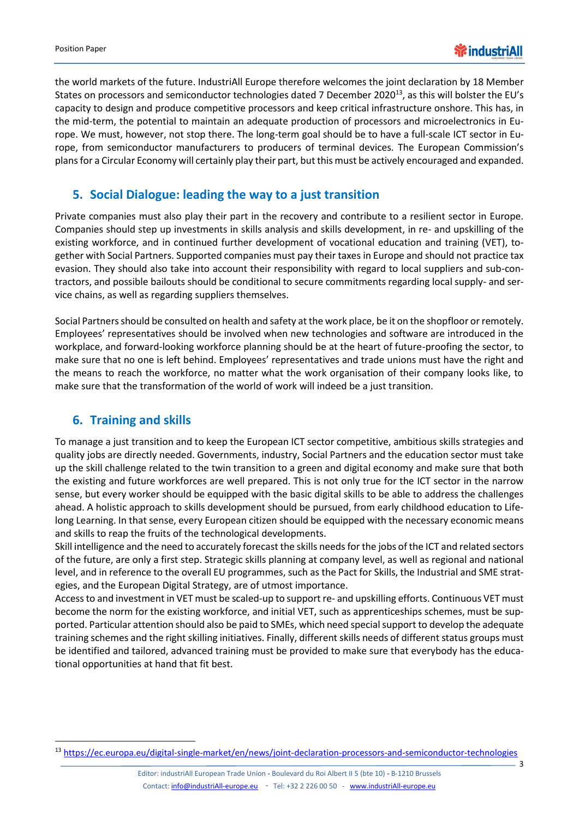the world markets of the future. IndustriAll Europe therefore welcomes the joint declaration by 18 Member States on processors and semiconductor technologies dated 7 December 2020<sup>13</sup>, as this will bolster the EU's capacity to design and produce competitive processors and keep critical infrastructure onshore. This has, in the mid-term, the potential to maintain an adequate production of processors and microelectronics in Europe. We must, however, not stop there. The long-term goal should be to have a full-scale ICT sector in Europe, from semiconductor manufacturers to producers of terminal devices. The European Commission's plans for a Circular Economy will certainly play their part, but this must be actively encouraged and expanded.

### **5. Social Dialogue: leading the way to a just transition**

Private companies must also play their part in the recovery and contribute to a resilient sector in Europe. Companies should step up investments in skills analysis and skills development, in re- and upskilling of the existing workforce, and in continued further development of vocational education and training (VET), together with Social Partners. Supported companies must pay their taxes in Europe and should not practice tax evasion. They should also take into account their responsibility with regard to local suppliers and sub-contractors, and possible bailouts should be conditional to secure commitments regarding local supply- and service chains, as well as regarding suppliers themselves.

Social Partners should be consulted on health and safety at the work place, be it on the shopfloor or remotely. Employees' representatives should be involved when new technologies and software are introduced in the workplace, and forward-looking workforce planning should be at the heart of future-proofing the sector, to make sure that no one is left behind. Employees' representatives and trade unions must have the right and the means to reach the workforce, no matter what the work organisation of their company looks like, to make sure that the transformation of the world of work will indeed be a just transition.

### **6. Training and skills**

To manage a just transition and to keep the European ICT sector competitive, ambitious skills strategies and quality jobs are directly needed. Governments, industry, Social Partners and the education sector must take up the skill challenge related to the twin transition to a green and digital economy and make sure that both the existing and future workforces are well prepared. This is not only true for the ICT sector in the narrow sense, but every worker should be equipped with the basic digital skills to be able to address the challenges ahead. A holistic approach to skills development should be pursued, from early childhood education to Lifelong Learning. In that sense, every European citizen should be equipped with the necessary economic means and skills to reap the fruits of the technological developments.

Skill intelligence and the need to accurately forecast the skills needs for the jobs of the ICT and related sectors of the future, are only a first step. Strategic skills planning at company level, as well as regional and national level, and in reference to the overall EU programmes, such as the Pact for Skills, the Industrial and SME strategies, and the European Digital Strategy, are of utmost importance.

Access to and investment in VET must be scaled-up to support re- and upskilling efforts. Continuous VET must become the norm for the existing workforce, and initial VET, such as apprenticeships schemes, must be supported. Particular attention should also be paid to SMEs, which need special support to develop the adequate training schemes and the right skilling initiatives. Finally, different skills needs of different status groups must be identified and tailored, advanced training must be provided to make sure that everybody has the educational opportunities at hand that fit best.

3

<sup>13</sup> <https://ec.europa.eu/digital-single-market/en/news/joint-declaration-processors-and-semiconductor-technologies>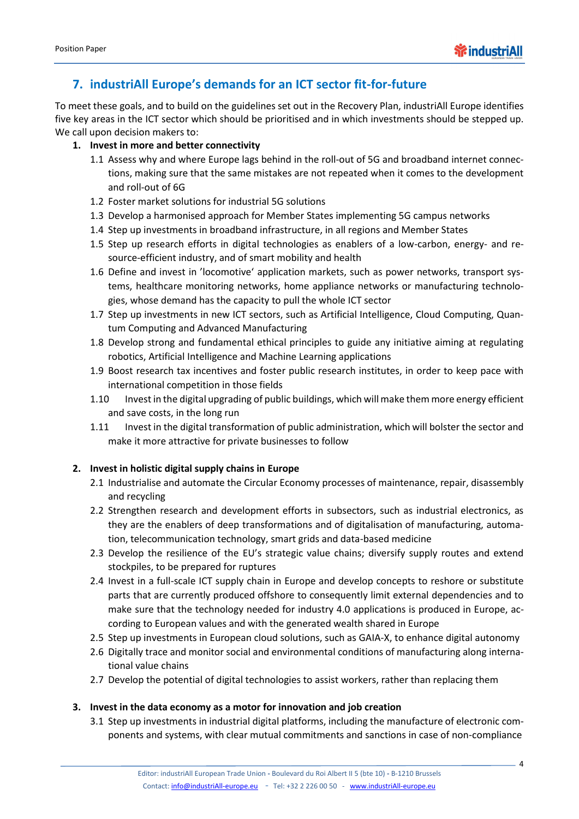

### **7. industriAll Europe's demands for an ICT sector fit-for-future**

To meet these goals, and to build on the guidelines set out in the Recovery Plan, industriAll Europe identifies five key areas in the ICT sector which should be prioritised and in which investments should be stepped up. We call upon decision makers to:

#### **1. Invest in more and better connectivity**

- 1.1 Assess why and where Europe lags behind in the roll-out of 5G and broadband internet connections, making sure that the same mistakes are not repeated when it comes to the development and roll-out of 6G
- 1.2 Foster market solutions for industrial 5G solutions
- 1.3 Develop a harmonised approach for Member States implementing 5G campus networks
- 1.4 Step up investments in broadband infrastructure, in all regions and Member States
- 1.5 Step up research efforts in digital technologies as enablers of a low-carbon, energy- and resource-efficient industry, and of smart mobility and health
- 1.6 Define and invest in 'locomotive' application markets, such as power networks, transport systems, healthcare monitoring networks, home appliance networks or manufacturing technologies, whose demand has the capacity to pull the whole ICT sector
- 1.7 Step up investments in new ICT sectors, such as Artificial Intelligence, Cloud Computing, Quantum Computing and Advanced Manufacturing
- 1.8 Develop strong and fundamental ethical principles to guide any initiative aiming at regulating robotics, Artificial Intelligence and Machine Learning applications
- 1.9 Boost research tax incentives and foster public research institutes, in order to keep pace with international competition in those fields
- 1.10 Invest in the digital upgrading of public buildings, which will make them more energy efficient and save costs, in the long run
- 1.11 Invest in the digital transformation of public administration, which will bolster the sector and make it more attractive for private businesses to follow

#### **2. Invest in holistic digital supply chains in Europe**

- 2.1 Industrialise and automate the Circular Economy processes of maintenance, repair, disassembly and recycling
- 2.2 Strengthen research and development efforts in subsectors, such as industrial electronics, as they are the enablers of deep transformations and of digitalisation of manufacturing, automation, telecommunication technology, smart grids and data-based medicine
- 2.3 Develop the resilience of the EU's strategic value chains; diversify supply routes and extend stockpiles, to be prepared for ruptures
- 2.4 Invest in a full-scale ICT supply chain in Europe and develop concepts to reshore or substitute parts that are currently produced offshore to consequently limit external dependencies and to make sure that the technology needed for industry 4.0 applications is produced in Europe, according to European values and with the generated wealth shared in Europe
- 2.5 Step up investments in European cloud solutions, such as GAIA-X, to enhance digital autonomy
- 2.6 Digitally trace and monitor social and environmental conditions of manufacturing along international value chains
- 2.7 Develop the potential of digital technologies to assist workers, rather than replacing them

#### **3. Invest in the data economy as a motor for innovation and job creation**

3.1 Step up investments in industrial digital platforms, including the manufacture of electronic components and systems, with clear mutual commitments and sanctions in case of non-compliance

4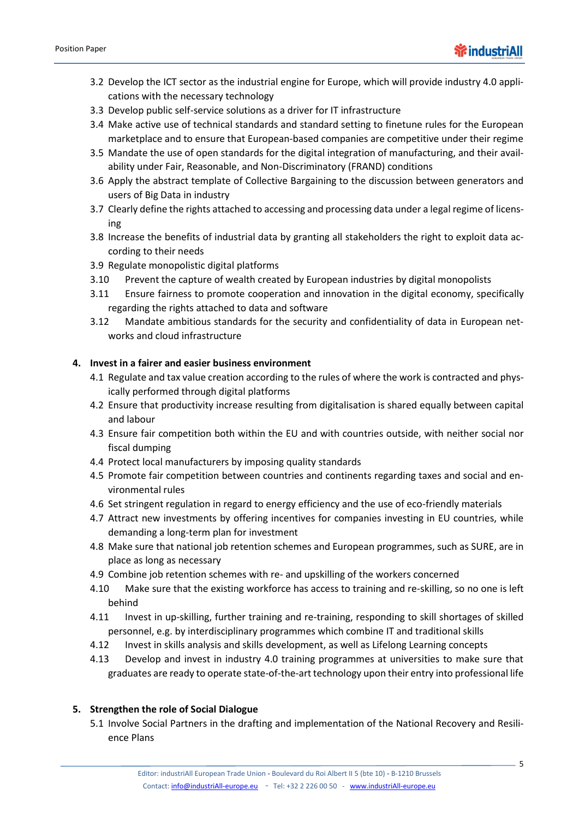- 3.2 Develop the ICT sector as the industrial engine for Europe, which will provide industry 4.0 applications with the necessary technology
- 3.3 Develop public self-service solutions as a driver for IT infrastructure
- 3.4 Make active use of technical standards and standard setting to finetune rules for the European marketplace and to ensure that European-based companies are competitive under their regime
- 3.5 Mandate the use of open standards for the digital integration of manufacturing, and their availability under Fair, Reasonable, and Non-Discriminatory (FRAND) conditions
- 3.6 Apply the abstract template of Collective Bargaining to the discussion between generators and users of Big Data in industry
- 3.7 Clearly define the rights attached to accessing and processing data under a legal regime of licensing
- 3.8 Increase the benefits of industrial data by granting all stakeholders the right to exploit data according to their needs
- 3.9 Regulate monopolistic digital platforms
- 3.10 Prevent the capture of wealth created by European industries by digital monopolists
- 3.11 Ensure fairness to promote cooperation and innovation in the digital economy, specifically regarding the rights attached to data and software
- 3.12 Mandate ambitious standards for the security and confidentiality of data in European networks and cloud infrastructure

#### **4. Invest in a fairer and easier business environment**

- 4.1 Regulate and tax value creation according to the rules of where the work is contracted and physically performed through digital platforms
- 4.2 Ensure that productivity increase resulting from digitalisation is shared equally between capital and labour
- 4.3 Ensure fair competition both within the EU and with countries outside, with neither social nor fiscal dumping
- 4.4 Protect local manufacturers by imposing quality standards
- 4.5 Promote fair competition between countries and continents regarding taxes and social and environmental rules
- 4.6 Set stringent regulation in regard to energy efficiency and the use of eco-friendly materials
- 4.7 Attract new investments by offering incentives for companies investing in EU countries, while demanding a long-term plan for investment
- 4.8 Make sure that national job retention schemes and European programmes, such as SURE, are in place as long as necessary
- 4.9 Combine job retention schemes with re- and upskilling of the workers concerned
- 4.10 Make sure that the existing workforce has access to training and re-skilling, so no one is left behind
- 4.11 Invest in up-skilling, further training and re-training, responding to skill shortages of skilled personnel, e.g. by interdisciplinary programmes which combine IT and traditional skills
- 4.12 Invest in skills analysis and skills development, as well as Lifelong Learning concepts
- 4.13 Develop and invest in industry 4.0 training programmes at universities to make sure that graduates are ready to operate state-of-the-art technology upon their entry into professional life

#### **5. Strengthen the role of Social Dialogue**

5.1 Involve Social Partners in the drafting and implementation of the National Recovery and Resilience Plans